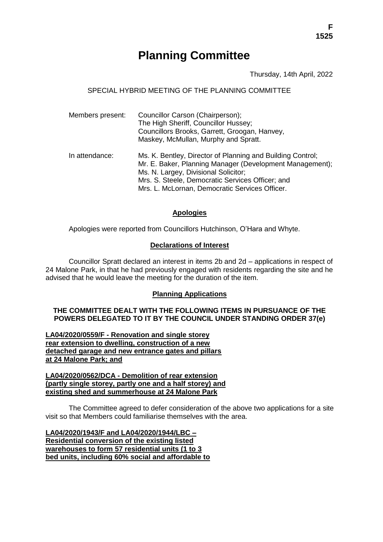# **Planning Committee**

Thursday, 14th April, 2022

# SPECIAL HYBRID MEETING OF THE PLANNING COMMITTEE

| Members present: | Councillor Carson (Chairperson);<br>The High Sheriff, Councillor Hussey;<br>Councillors Brooks, Garrett, Groogan, Hanvey,<br>Maskey, McMullan, Murphy and Spratt.                                                                                                    |
|------------------|----------------------------------------------------------------------------------------------------------------------------------------------------------------------------------------------------------------------------------------------------------------------|
| In attendance:   | Ms. K. Bentley, Director of Planning and Building Control;<br>Mr. E. Baker, Planning Manager (Development Management);<br>Ms. N. Largey, Divisional Solicitor;<br>Mrs. S. Steele, Democratic Services Officer; and<br>Mrs. L. McLornan, Democratic Services Officer. |

# **Apologies**

Apologies were reported from Councillors Hutchinson, O'Hara and Whyte.

# **Declarations of Interest**

Councillor Spratt declared an interest in items 2b and 2d – applications in respect of 24 Malone Park, in that he had previously engaged with residents regarding the site and he advised that he would leave the meeting for the duration of the item.

### **Planning Applications**

## **THE COMMITTEE DEALT WITH THE FOLLOWING ITEMS IN PURSUANCE OF THE POWERS DELEGATED TO IT BY THE COUNCIL UNDER STANDING ORDER 37(e)**

**LA04/2020/0559/F - Renovation and single storey rear extension to dwelling, construction of a new detached garage and new entrance gates and pillars at 24 Malone Park; and**

**LA04/2020/0562/DCA - Demolition of rear extension (partly single storey, partly one and a half storey) and existing shed and summerhouse at 24 Malone Park**

The Committee agreed to defer consideration of the above two applications for a site visit so that Members could familiarise themselves with the area.

**LA04/2020/1943/F and LA04/2020/1944/LBC – Residential conversion of the existing listed warehouses to form 57 residential units (1 to 3 bed units, including 60% social and affordable to**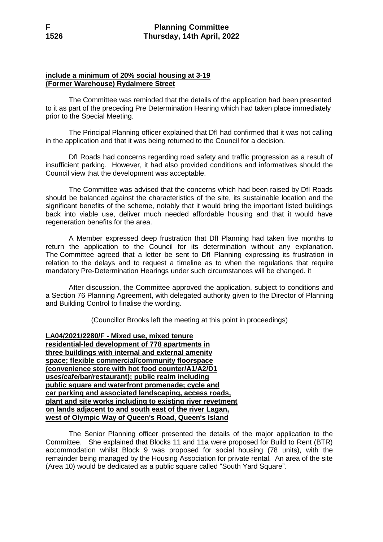# **include a minimum of 20% social housing at 3-19 (Former Warehouse) Rydalmere Street**

The Committee was reminded that the details of the application had been presented to it as part of the preceding Pre Determination Hearing which had taken place immediately prior to the Special Meeting.

The Principal Planning officer explained that DfI had confirmed that it was not calling in the application and that it was being returned to the Council for a decision.

DfI Roads had concerns regarding road safety and traffic progression as a result of insufficient parking. However, it had also provided conditions and informatives should the Council view that the development was acceptable.

The Committee was advised that the concerns which had been raised by DfI Roads should be balanced against the characteristics of the site, its sustainable location and the significant benefits of the scheme, notably that it would bring the important listed buildings back into viable use, deliver much needed affordable housing and that it would have regeneration benefits for the area.

A Member expressed deep frustration that DfI Planning had taken five months to return the application to the Council for its determination without any explanation. The Committee agreed that a letter be sent to DfI Planning expressing its frustration in relation to the delays and to request a timeline as to when the regulations that require mandatory Pre-Determination Hearings under such circumstances will be changed. it

After discussion, the Committee approved the application, subject to conditions and a Section 76 Planning Agreement, with delegated authority given to the Director of Planning and Building Control to finalise the wording.

(Councillor Brooks left the meeting at this point in proceedings)

**LA04/2021/2280/F - Mixed use, mixed tenure residential-led development of 778 apartments in three buildings with internal and external amenity space; flexible commercial/community floorspace (convenience store with hot food counter/A1/A2/D1 uses/cafe/bar/restaurant); public realm including public square and waterfront promenade; cycle and car parking and associated landscaping, access roads, plant and site works including to existing river revetment on lands adjacent to and south east of the river Lagan, west of Olympic Way of Queen's Road, Queen's Island**

The Senior Planning officer presented the details of the major application to the Committee. She explained that Blocks 11 and 11a were proposed for Build to Rent (BTR) accommodation whilst Block 9 was proposed for social housing (78 units), with the remainder being managed by the Housing Association for private rental. An area of the site (Area 10) would be dedicated as a public square called "South Yard Square".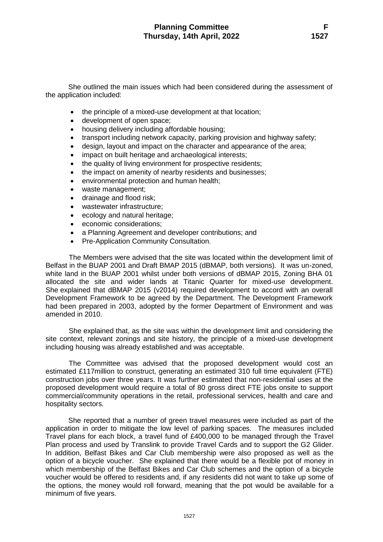She outlined the main issues which had been considered during the assessment of the application included:

- the principle of a mixed-use development at that location;
- development of open space;
- housing delivery including affordable housing;
- transport including network capacity, parking provision and highway safety;
- design, layout and impact on the character and appearance of the area;
- impact on built heritage and archaeological interests;
- the quality of living environment for prospective residents;
- the impact on amenity of nearby residents and businesses;
- environmental protection and human health;
- waste management;
- drainage and flood risk:
- wastewater infrastructure;
- ecology and natural heritage;
- economic considerations;
- a Planning Agreement and developer contributions; and
- Pre-Application Community Consultation.

The Members were advised that the site was located within the development limit of Belfast in the BUAP 2001 and Draft BMAP 2015 (dBMAP, both versions). It was un-zoned, white land in the BUAP 2001 whilst under both versions of dBMAP 2015, Zoning BHA 01 allocated the site and wider lands at Titanic Quarter for mixed-use development. She explained that dBMAP 2015 (v2014) required development to accord with an overall Development Framework to be agreed by the Department. The Development Framework had been prepared in 2003, adopted by the former Department of Environment and was amended in 2010.

She explained that, as the site was within the development limit and considering the site context, relevant zonings and site history, the principle of a mixed-use development including housing was already established and was acceptable.

The Committee was advised that the proposed development would cost an estimated £117million to construct, generating an estimated 310 full time equivalent (FTE) construction jobs over three years. It was further estimated that non-residential uses at the proposed development would require a total of 80 gross direct FTE jobs onsite to support commercial/community operations in the retail, professional services, health and care and hospitality sectors.

She reported that a number of green travel measures were included as part of the application in order to mitigate the low level of parking spaces. The measures included Travel plans for each block, a travel fund of £400,000 to be managed through the Travel Plan process and used by Translink to provide Travel Cards and to support the G2 Glider. In addition, Belfast Bikes and Car Club membership were also proposed as well as the option of a bicycle voucher. She explained that there would be a flexible pot of money in which membership of the Belfast Bikes and Car Club schemes and the option of a bicycle voucher would be offered to residents and, if any residents did not want to take up some of the options, the money would roll forward, meaning that the pot would be available for a minimum of five years.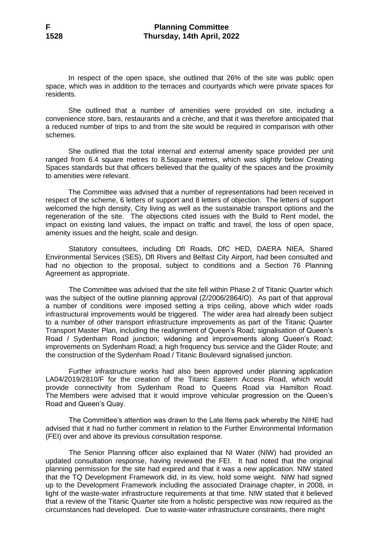In respect of the open space, she outlined that 26% of the site was public open space, which was in addition to the terraces and courtyards which were private spaces for residents.

She outlined that a number of amenities were provided on site, including a convenience store, bars, restaurants and a crèche, and that it was therefore anticipated that a reduced number of trips to and from the site would be required in comparison with other schemes.

She outlined that the total internal and external amenity space provided per unit ranged from 6.4 square metres to 8.5square metres, which was slightly below Creating Spaces standards but that officers believed that the quality of the spaces and the proximity to amenities were relevant.

The Committee was advised that a number of representations had been received in respect of the scheme, 6 letters of support and 8 letters of objection. The letters of support welcomed the high density, City living as well as the sustainable transport options and the regeneration of the site. The objections cited issues with the Build to Rent model, the impact on existing land values, the impact on traffic and travel, the loss of open space, amenity issues and the height, scale and design.

Statutory consultees, including DfI Roads, DfC HED, DAERA NIEA, Shared Environmental Services (SES), DfI Rivers and Belfast City Airport, had been consulted and had no objection to the proposal, subject to conditions and a Section 76 Planning Agreement as appropriate.

The Committee was advised that the site fell within Phase 2 of Titanic Quarter which was the subject of the outline planning approval (Z/2006/2864/O). As part of that approval a number of conditions were imposed setting a trips ceiling, above which wider roads infrastructural improvements would be triggered. The wider area had already been subject to a number of other transport infrastructure improvements as part of the Titanic Quarter Transport Master Plan, including the realignment of Queen's Road; signalisation of Queen's Road / Sydenham Road junction; widening and improvements along Queen's Road; improvements on Sydenham Road; a high frequency bus service and the Glider Route; and the construction of the Sydenham Road / Titanic Boulevard signalised junction.

Further infrastructure works had also been approved under planning application LA04/2019/2810/F for the creation of the Titanic Eastern Access Road, which would provide connectivity from Sydenham Road to Queens Road via Hamilton Road. The Members were advised that it would improve vehicular progression on the Queen's Road and Queen's Quay.

The Committee's attention was drawn to the Late Items pack whereby the NIHE had advised that it had no further comment in relation to the Further Environmental Information (FEI) over and above its previous consultation response.

The Senior Planning officer also explained that NI Water (NIW) had provided an updated consultation response, having reviewed the FEI. It had noted that the original planning permission for the site had expired and that it was a new application. NIW stated that the TQ Development Framework did, in its view, hold some weight. NIW had signed up to the Development Framework including the associated Drainage chapter, in 2008, in light of the waste-water infrastructure requirements at that time. NIW stated that it believed that a review of the Titanic Quarter site from a holistic perspective was now required as the circumstances had developed. Due to waste-water infrastructure constraints, there might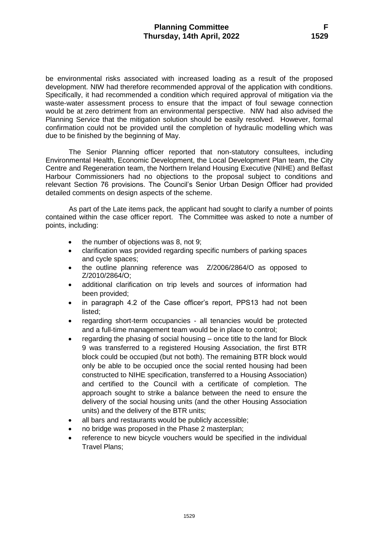be environmental risks associated with increased loading as a result of the proposed development. NIW had therefore recommended approval of the application with conditions. Specifically, it had recommended a condition which required approval of mitigation via the waste-water assessment process to ensure that the impact of foul sewage connection would be at zero detriment from an environmental perspective. NIW had also advised the Planning Service that the mitigation solution should be easily resolved. However, formal confirmation could not be provided until the completion of hydraulic modelling which was due to be finished by the beginning of May.

The Senior Planning officer reported that non-statutory consultees, including Environmental Health, Economic Development, the Local Development Plan team, the City Centre and Regeneration team, the Northern Ireland Housing Executive (NIHE) and Belfast Harbour Commissioners had no objections to the proposal subject to conditions and relevant Section 76 provisions. The Council's Senior Urban Design Officer had provided detailed comments on design aspects of the scheme.

As part of the Late items pack, the applicant had sought to clarify a number of points contained within the case officer report. The Committee was asked to note a number of points, including:

- the number of objections was 8, not 9;
- clarification was provided regarding specific numbers of parking spaces and cycle spaces;
- the outline planning reference was Z/2006/2864/O as opposed to Z/2010/2864/O;
- additional clarification on trip levels and sources of information had been provided;
- in paragraph 4.2 of the Case officer's report, PPS13 had not been listed;
- regarding short-term occupancies all tenancies would be protected and a full-time management team would be in place to control;
- regarding the phasing of social housing once title to the land for Block 9 was transferred to a registered Housing Association, the first BTR block could be occupied (but not both). The remaining BTR block would only be able to be occupied once the social rented housing had been constructed to NIHE specification, transferred to a Housing Association) and certified to the Council with a certificate of completion. The approach sought to strike a balance between the need to ensure the delivery of the social housing units (and the other Housing Association units) and the delivery of the BTR units;
- all bars and restaurants would be publicly accessible;
- no bridge was proposed in the Phase 2 masterplan;
- reference to new bicycle vouchers would be specified in the individual Travel Plans;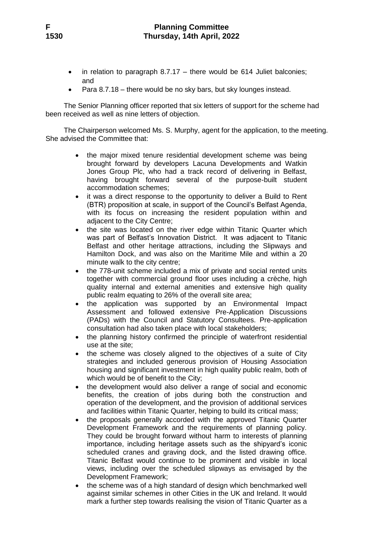- in relation to paragraph 8.7.17 there would be 614 Juliet balconies; and
- Para 8.7.18 there would be no sky bars, but sky lounges instead.

The Senior Planning officer reported that six letters of support for the scheme had been received as well as nine letters of objection.

The Chairperson welcomed Ms. S. Murphy, agent for the application, to the meeting. She advised the Committee that:

- the major mixed tenure residential development scheme was being brought forward by developers Lacuna Developments and Watkin Jones Group Plc, who had a track record of delivering in Belfast, having brought forward several of the purpose-built student accommodation schemes;
- it was a direct response to the opportunity to deliver a Build to Rent (BTR) proposition at scale, in support of the Council's Belfast Agenda, with its focus on increasing the resident population within and adjacent to the City Centre;
- the site was located on the river edge within Titanic Quarter which was part of Belfast's Innovation District. It was adjacent to Titanic Belfast and other heritage attractions, including the Slipways and Hamilton Dock, and was also on the Maritime Mile and within a 20 minute walk to the city centre;
- the 778-unit scheme included a mix of private and social rented units together with commercial ground floor uses including a crèche, high quality internal and external amenities and extensive high quality public realm equating to 26% of the overall site area;
- the application was supported by an Environmental Impact Assessment and followed extensive Pre-Application Discussions (PADs) with the Council and Statutory Consultees. Pre-application consultation had also taken place with local stakeholders;
- the planning history confirmed the principle of waterfront residential use at the site;
- the scheme was closely aligned to the objectives of a suite of City strategies and included generous provision of Housing Association housing and significant investment in high quality public realm, both of which would be of benefit to the City;
- the development would also deliver a range of social and economic benefits, the creation of jobs during both the construction and operation of the development, and the provision of additional services and facilities within Titanic Quarter, helping to build its critical mass;
- the proposals generally accorded with the approved Titanic Quarter Development Framework and the requirements of planning policy. They could be brought forward without harm to interests of planning importance, including heritage assets such as the shipyard's iconic scheduled cranes and graving dock, and the listed drawing office. Titanic Belfast would continue to be prominent and visible in local views, including over the scheduled slipways as envisaged by the Development Framework;
- the scheme was of a high standard of design which benchmarked well against similar schemes in other Cities in the UK and Ireland. It would mark a further step towards realising the vision of Titanic Quarter as a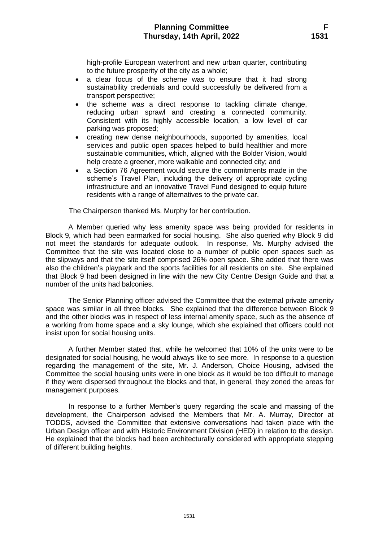high-profile European waterfront and new urban quarter, contributing to the future prosperity of the city as a whole;

- a clear focus of the scheme was to ensure that it had strong sustainability credentials and could successfully be delivered from a transport perspective;
- the scheme was a direct response to tackling climate change, reducing urban sprawl and creating a connected community. Consistent with its highly accessible location, a low level of car parking was proposed;
- creating new dense neighbourhoods, supported by amenities, local services and public open spaces helped to build healthier and more sustainable communities, which, aligned with the Bolder Vision, would help create a greener, more walkable and connected city; and
- a Section 76 Agreement would secure the commitments made in the scheme's Travel Plan, including the delivery of appropriate cycling infrastructure and an innovative Travel Fund designed to equip future residents with a range of alternatives to the private car.

The Chairperson thanked Ms. Murphy for her contribution.

A Member queried why less amenity space was being provided for residents in Block 9, which had been earmarked for social housing. She also queried why Block 9 did not meet the standards for adequate outlook. In response, Ms. Murphy advised the Committee that the site was located close to a number of public open spaces such as the slipways and that the site itself comprised 26% open space. She added that there was also the children's playpark and the sports facilities for all residents on site. She explained that Block 9 had been designed in line with the new City Centre Design Guide and that a number of the units had balconies.

The Senior Planning officer advised the Committee that the external private amenity space was similar in all three blocks. She explained that the difference between Block 9 and the other blocks was in respect of less internal amenity space, such as the absence of a working from home space and a sky lounge, which she explained that officers could not insist upon for social housing units.

A further Member stated that, while he welcomed that 10% of the units were to be designated for social housing, he would always like to see more. In response to a question regarding the management of the site, Mr. J. Anderson, Choice Housing, advised the Committee the social housing units were in one block as it would be too difficult to manage if they were dispersed throughout the blocks and that, in general, they zoned the areas for management purposes.

In response to a further Member's query regarding the scale and massing of the development, the Chairperson advised the Members that Mr. A. Murray, Director at TODDS, advised the Committee that extensive conversations had taken place with the Urban Design officer and with Historic Environment Division (HED) in relation to the design. He explained that the blocks had been architecturally considered with appropriate stepping of different building heights.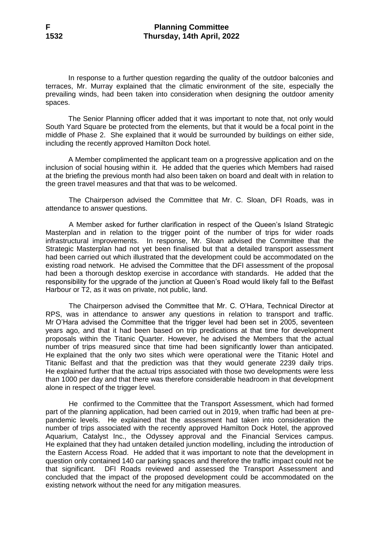In response to a further question regarding the quality of the outdoor balconies and terraces, Mr. Murray explained that the climatic environment of the site, especially the prevailing winds, had been taken into consideration when designing the outdoor amenity spaces.

The Senior Planning officer added that it was important to note that, not only would South Yard Square be protected from the elements, but that it would be a focal point in the middle of Phase 2. She explained that it would be surrounded by buildings on either side, including the recently approved Hamilton Dock hotel.

A Member complimented the applicant team on a progressive application and on the inclusion of social housing within it. He added that the queries which Members had raised at the briefing the previous month had also been taken on board and dealt with in relation to the green travel measures and that that was to be welcomed.

The Chairperson advised the Committee that Mr. C. Sloan, DFI Roads, was in attendance to answer questions.

A Member asked for further clarification in respect of the Queen's Island Strategic Masterplan and in relation to the trigger point of the number of trips for wider roads infrastructural improvements. In response, Mr. Sloan advised the Committee that the Strategic Masterplan had not yet been finalised but that a detailed transport assessment had been carried out which illustrated that the development could be accommodated on the existing road network. He advised the Committee that the DFI assessment of the proposal had been a thorough desktop exercise in accordance with standards. He added that the responsibility for the upgrade of the junction at Queen's Road would likely fall to the Belfast Harbour or T2, as it was on private, not public, land.

The Chairperson advised the Committee that Mr. C. O'Hara, Technical Director at RPS, was in attendance to answer any questions in relation to transport and traffic. Mr O'Hara advised the Committee that the trigger level had been set in 2005, seventeen years ago, and that it had been based on trip predications at that time for development proposals within the Titanic Quarter. However, he advised the Members that the actual number of trips measured since that time had been significantly lower than anticipated. He explained that the only two sites which were operational were the Titanic Hotel and Titanic Belfast and that the prediction was that they would generate 2239 daily trips. He explained further that the actual trips associated with those two developments were less than 1000 per day and that there was therefore considerable headroom in that development alone in respect of the trigger level.

He confirmed to the Committee that the Transport Assessment, which had formed part of the planning application, had been carried out in 2019, when traffic had been at prepandemic levels. He explained that the assessment had taken into consideration the number of trips associated with the recently approved Hamilton Dock Hotel, the approved Aquarium, Catalyst Inc., the Odyssey approval and the Financial Services campus. He explained that they had untaken detailed junction modelling, including the introduction of the Eastern Access Road. He added that it was important to note that the development in question only contained 140 car parking spaces and therefore the traffic impact could not be that significant. DFI Roads reviewed and assessed the Transport Assessment and concluded that the impact of the proposed development could be accommodated on the existing network without the need for any mitigation measures.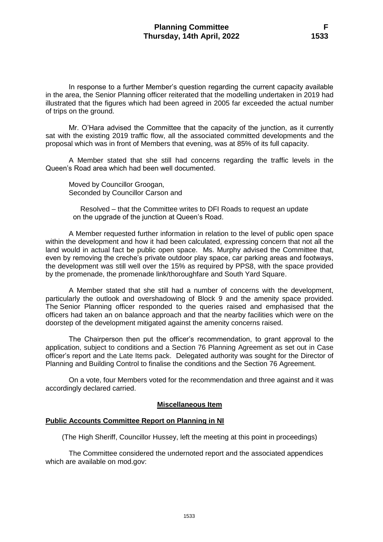In response to a further Member's question regarding the current capacity available in the area, the Senior Planning officer reiterated that the modelling undertaken in 2019 had illustrated that the figures which had been agreed in 2005 far exceeded the actual number of trips on the ground.

Mr. O'Hara advised the Committee that the capacity of the junction, as it currently sat with the existing 2019 traffic flow, all the associated committed developments and the proposal which was in front of Members that evening, was at 85% of its full capacity.

A Member stated that she still had concerns regarding the traffic levels in the Queen's Road area which had been well documented.

Moved by Councillor Groogan, Seconded by Councillor Carson and

Resolved – that the Committee writes to DFI Roads to request an update on the upgrade of the junction at Queen's Road.

A Member requested further information in relation to the level of public open space within the development and how it had been calculated, expressing concern that not all the land would in actual fact be public open space. Ms. Murphy advised the Committee that, even by removing the creche's private outdoor play space, car parking areas and footways, the development was still well over the 15% as required by PPS8, with the space provided by the promenade, the promenade link/thoroughfare and South Yard Square.

A Member stated that she still had a number of concerns with the development, particularly the outlook and overshadowing of Block 9 and the amenity space provided. The Senior Planning officer responded to the queries raised and emphasised that the officers had taken an on balance approach and that the nearby facilities which were on the doorstep of the development mitigated against the amenity concerns raised.

The Chairperson then put the officer's recommendation, to grant approval to the application, subject to conditions and a Section 76 Planning Agreement as set out in Case officer's report and the Late Items pack. Delegated authority was sought for the Director of Planning and Building Control to finalise the conditions and the Section 76 Agreement.

On a vote, four Members voted for the recommendation and three against and it was accordingly declared carried.

#### **Miscellaneous Item**

## **Public Accounts Committee Report on Planning in NI**

(The High Sheriff, Councillor Hussey, left the meeting at this point in proceedings)

The Committee considered the undernoted report and the associated appendices which are available on mod.gov: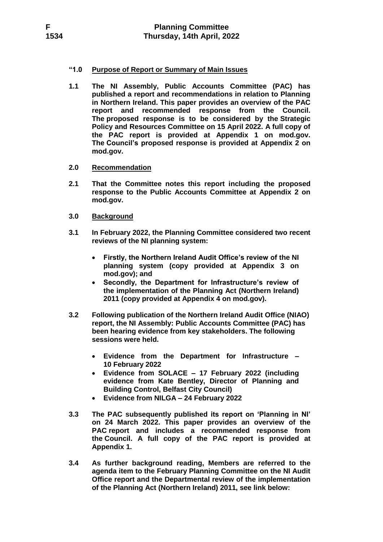## **"1.0 Purpose of Report or Summary of Main Issues**

**1.1 The NI Assembly, Public Accounts Committee (PAC) has published a report and recommendations in relation to Planning in Northern Ireland. This paper provides an overview of the PAC report and recommended response from the Council. The proposed response is to be considered by the Strategic Policy and Resources Committee on 15 April 2022. A full copy of the PAC report is provided at Appendix 1 on mod.gov. The Council's proposed response is provided at Appendix 2 on mod.gov.**

## **2.0 Recommendation**

- **2.1 That the Committee notes this report including the proposed response to the Public Accounts Committee at Appendix 2 on mod.gov.**
- **3.0 Background**
- **3.1 In February 2022, the Planning Committee considered two recent reviews of the NI planning system:**
	- **Firstly, the Northern Ireland Audit Office's review of the NI planning system (copy provided at Appendix 3 on mod.gov); and**
	- **Secondly, the Department for Infrastructure's review of the implementation of the Planning Act (Northern Ireland) 2011 (copy provided at Appendix 4 on mod.gov).**
- **3.2 Following publication of the Northern Ireland Audit Office (NIAO) report, the NI Assembly: Public Accounts Committee (PAC) has been hearing evidence from key stakeholders. The following sessions were held.**
	- **Evidence from the Department for Infrastructure – 10 February 2022**
	- **Evidence from SOLACE – 17 February 2022 (including evidence from Kate Bentley, Director of Planning and Building Control, Belfast City Council)**
	- **Evidence from NILGA – 24 February 2022**
- **3.3 The PAC subsequently published its report on 'Planning in NI' on 24 March 2022. This paper provides an overview of the PAC report and includes a recommended response from the Council. A full copy of the PAC report is provided at Appendix 1.**
- **3.4 As further background reading, Members are referred to the agenda item to the February Planning Committee on the NI Audit Office report and the Departmental review of the implementation of the Planning Act (Northern Ireland) 2011, see link below:**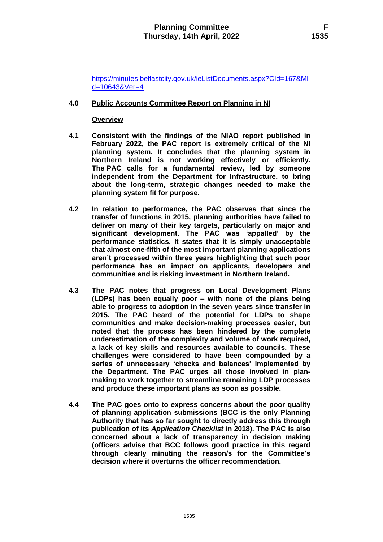[https://minutes.belfastcity.gov.uk/ieListDocuments.aspx?CId=167&MI](https://minutes.belfastcity.gov.uk/ieListDocuments.aspx?CId=167&MId=10643&Ver=4) [d=10643&Ver=4](https://minutes.belfastcity.gov.uk/ieListDocuments.aspx?CId=167&MId=10643&Ver=4)

## **4.0 Public Accounts Committee Report on Planning in NI**

## **Overview**

- **4.1 Consistent with the findings of the NIAO report published in February 2022, the PAC report is extremely critical of the NI planning system. It concludes that the planning system in Northern Ireland is not working effectively or efficiently. The PAC calls for a fundamental review, led by someone independent from the Department for Infrastructure, to bring about the long-term, strategic changes needed to make the planning system fit for purpose.**
- **4.2 In relation to performance, the PAC observes that since the transfer of functions in 2015, planning authorities have failed to deliver on many of their key targets, particularly on major and significant development. The PAC was 'appalled' by the performance statistics. It states that it is simply unacceptable that almost one-fifth of the most important planning applications aren't processed within three years highlighting that such poor performance has an impact on applicants, developers and communities and is risking investment in Northern Ireland.**
- **4.3 The PAC notes that progress on Local Development Plans (LDPs) has been equally poor – with none of the plans being able to progress to adoption in the seven years since transfer in 2015. The PAC heard of the potential for LDPs to shape communities and make decision-making processes easier, but noted that the process has been hindered by the complete underestimation of the complexity and volume of work required, a lack of key skills and resources available to councils. These challenges were considered to have been compounded by a series of unnecessary 'checks and balances' implemented by the Department. The PAC urges all those involved in planmaking to work together to streamline remaining LDP processes and produce these important plans as soon as possible.**
- **4.4 The PAC goes onto to express concerns about the poor quality of planning application submissions (BCC is the only Planning Authority that has so far sought to directly address this through publication of its** *Application Checklist* **in 2018). The PAC is also concerned about a lack of transparency in decision making (officers advise that BCC follows good practice in this regard through clearly minuting the reason/s for the Committee's decision where it overturns the officer recommendation.**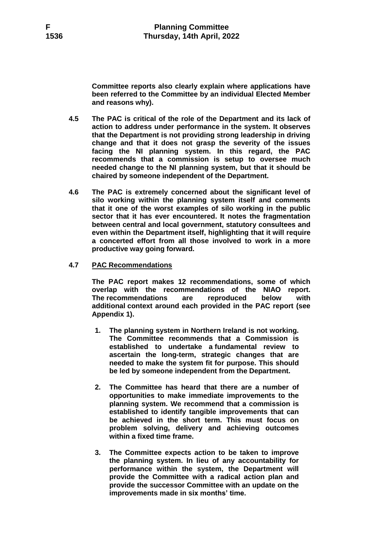**Committee reports also clearly explain where applications have been referred to the Committee by an individual Elected Member and reasons why).**

- **4.5 The PAC is critical of the role of the Department and its lack of action to address under performance in the system. It observes that the Department is not providing strong leadership in driving change and that it does not grasp the severity of the issues facing the NI planning system. In this regard, the PAC recommends that a commission is setup to oversee much needed change to the NI planning system, but that it should be chaired by someone independent of the Department.**
- **4.6 The PAC is extremely concerned about the significant level of silo working within the planning system itself and comments that it one of the worst examples of silo working in the public sector that it has ever encountered. It notes the fragmentation between central and local government, statutory consultees and even within the Department itself, highlighting that it will require a concerted effort from all those involved to work in a more productive way going forward.**
- **4.7 PAC Recommendations**

**The PAC report makes 12 recommendations, some of which overlap with the recommendations of the NIAO report. The recommendations are reproduced below with additional context around each provided in the PAC report (see Appendix 1).**

- **1. The planning system in Northern Ireland is not working. The Committee recommends that a Commission is established to undertake a fundamental review to ascertain the long-term, strategic changes that are needed to make the system fit for purpose. This should be led by someone independent from the Department.**
- **2. The Committee has heard that there are a number of opportunities to make immediate improvements to the planning system. We recommend that a commission is established to identify tangible improvements that can be achieved in the short term. This must focus on problem solving, delivery and achieving outcomes within a fixed time frame.**
- **3. The Committee expects action to be taken to improve the planning system. In lieu of any accountability for performance within the system, the Department will provide the Committee with a radical action plan and provide the successor Committee with an update on the improvements made in six months' time.**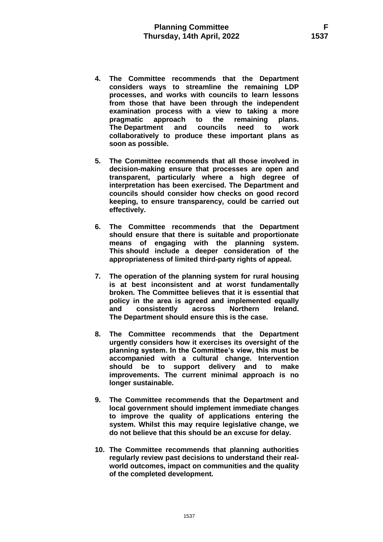- **4. The Committee recommends that the Department considers ways to streamline the remaining LDP processes, and works with councils to learn lessons from those that have been through the independent examination process with a view to taking a more pragmatic approach to the remaining plans. The Department and councils need to work collaboratively to produce these important plans as soon as possible.**
- **5. The Committee recommends that all those involved in decision-making ensure that processes are open and transparent, particularly where a high degree of interpretation has been exercised. The Department and councils should consider how checks on good record keeping, to ensure transparency, could be carried out effectively.**
- **6. The Committee recommends that the Department should ensure that there is suitable and proportionate means of engaging with the planning system. This should include a deeper consideration of the appropriateness of limited third-party rights of appeal.**
- **7. The operation of the planning system for rural housing is at best inconsistent and at worst fundamentally broken. The Committee believes that it is essential that policy in the area is agreed and implemented equally and consistently across Northern Ireland. The Department should ensure this is the case.**
- **8. The Committee recommends that the Department urgently considers how it exercises its oversight of the planning system. In the Committee's view, this must be accompanied with a cultural change. Intervention should be to support delivery and to make improvements. The current minimal approach is no longer sustainable.**
- **9. The Committee recommends that the Department and local government should implement immediate changes to improve the quality of applications entering the system. Whilst this may require legislative change, we do not believe that this should be an excuse for delay.**
- **10. The Committee recommends that planning authorities regularly review past decisions to understand their realworld outcomes, impact on communities and the quality of the completed development.**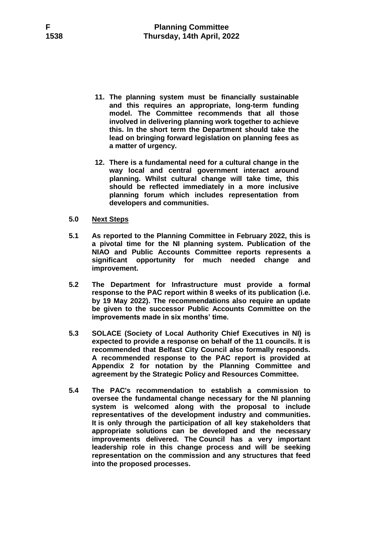- **11. The planning system must be financially sustainable and this requires an appropriate, long-term funding model. The Committee recommends that all those involved in delivering planning work together to achieve this. In the short term the Department should take the lead on bringing forward legislation on planning fees as a matter of urgency.**
- **12. There is a fundamental need for a cultural change in the way local and central government interact around planning. Whilst cultural change will take time, this should be reflected immediately in a more inclusive planning forum which includes representation from developers and communities.**
- **5.0 Next Steps**
- **5.1 As reported to the Planning Committee in February 2022, this is a pivotal time for the NI planning system. Publication of the NIAO and Public Accounts Committee reports represents a significant opportunity for much needed change and improvement.**
- **5.2 The Department for Infrastructure must provide a formal response to the PAC report within 8 weeks of its publication (i.e. by 19 May 2022). The recommendations also require an update be given to the successor Public Accounts Committee on the improvements made in six months' time.**
- **5.3 SOLACE (Society of Local Authority Chief Executives in NI) is expected to provide a response on behalf of the 11 councils. It is recommended that Belfast City Council also formally responds. A recommended response to the PAC report is provided at Appendix 2 for notation by the Planning Committee and agreement by the Strategic Policy and Resources Committee.**
- **5.4 The PAC's recommendation to establish a commission to oversee the fundamental change necessary for the NI planning system is welcomed along with the proposal to include representatives of the development industry and communities. It is only through the participation of all key stakeholders that appropriate solutions can be developed and the necessary improvements delivered. The Council has a very important leadership role in this change process and will be seeking representation on the commission and any structures that feed into the proposed processes.**